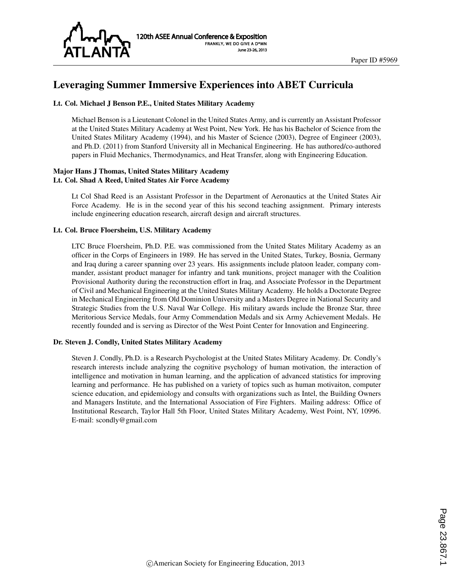

# Leveraging Summer Immersive Experiences into ABET Curricula

#### Lt. Col. Michael J Benson P.E., United States Military Academy

Michael Benson is a Lieutenant Colonel in the United States Army, and is currently an Assistant Professor at the United States Military Academy at West Point, New York. He has his Bachelor of Science from the United States Military Academy (1994), and his Master of Science (2003), Degree of Engineer (2003), and Ph.D. (2011) from Stanford University all in Mechanical Engineering. He has authored/co-authored papers in Fluid Mechanics, Thermodynamics, and Heat Transfer, along with Engineering Education.

#### Major Hans J Thomas, United States Military Academy Lt. Col. Shad A Reed, United States Air Force Academy

Lt Col Shad Reed is an Assistant Professor in the Department of Aeronautics at the United States Air Force Academy. He is in the second year of this his second teaching assignment. Primary interests include engineering education research, aircraft design and aircraft structures.

#### Lt. Col. Bruce Floersheim, U.S. Military Academy

LTC Bruce Floersheim, Ph.D. P.E. was commissioned from the United States Military Academy as an officer in the Corps of Engineers in 1989. He has served in the United States, Turkey, Bosnia, Germany and Iraq during a career spanning over 23 years. His assignments include platoon leader, company commander, assistant product manager for infantry and tank munitions, project manager with the Coalition Provisional Authority during the reconstruction effort in Iraq, and Associate Professor in the Department of Civil and Mechanical Engineering at the United States Military Academy. He holds a Doctorate Degree in Mechanical Engineering from Old Dominion University and a Masters Degree in National Security and Strategic Studies from the U.S. Naval War College. His military awards include the Bronze Star, three Meritorious Service Medals, four Army Commendation Medals and six Army Achievement Medals. He recently founded and is serving as Director of the West Point Center for Innovation and Engineering.

#### Dr. Steven J. Condly, United States Military Academy

Steven J. Condly, Ph.D. is a Research Psychologist at the United States Military Academy. Dr. Condly's research interests include analyzing the cognitive psychology of human motivation, the interaction of intelligence and motivation in human learning, and the application of advanced statistics for improving learning and performance. He has published on a variety of topics such as human motivaiton, computer science education, and epidemiology and consults with organizations such as Intel, the Building Owners and Managers Institute, and the International Association of Fire Fighters. Mailing address: Office of Institutional Research, Taylor Hall 5th Floor, United States Military Academy, West Point, NY, 10996. E-mail: scondly@gmail.com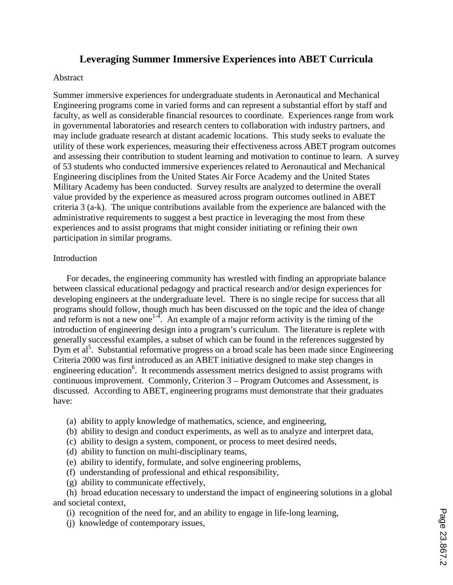# **Leveraging Summer Immersive Experiences into ABET Curricula**

## Abstract

Summer immersive experiences for undergraduate students in Aeronautical and Mechanical Engineering programs come in varied forms and can represent a substantial effort by staff and faculty, as well as considerable financial resources to coordinate. Experiences range from work in governmental laboratories and research centers to collaboration with industry partners, and may include graduate research at distant academic locations. This study seeks to evaluate the utility of these work experiences, measuring their effectiveness across ABET program outcomes and assessing their contribution to student learning and motivation to continue to learn. A survey of 53 students who conducted immersive experiences related to Aeronautical and Mechanical Engineering disciplines from the United States Air Force Academy and the United States Military Academy has been conducted. Survey results are analyzed to determine the overall value provided by the experience as measured across program outcomes outlined in ABET criteria 3 (a-k). The unique contributions available from the experience are balanced with the administrative requirements to suggest a best practice in leveraging the most from these experiences and to assist programs that might consider initiating or refining their own participation in similar programs.

# **Introduction**

For decades, the engineering community has wrestled with finding an appropriate balance between classical educational pedagogy and practical research and/or design experiences for developing engineers at the undergraduate level. There is no single recipe for success that all programs should follow, though much has been discussed on the topic and the idea of change and reform is not a new one<sup>1-4</sup>. An example of a major reform activity is the timing of the introduction of engineering design into a program's curriculum. The literature is replete with generally successful examples, a subset of which can be found in the references suggested by Dym et  $al^5$ . Substantial reformative progress on a broad scale has been made since Engineering Criteria 2000 was first introduced as an ABET initiative designed to make step changes in engineering education<sup>6</sup>. It recommends assessment metrics designed to assist programs with continuous improvement. Commonly, Criterion 3 – Program Outcomes and Assessment, is discussed. According to ABET, engineering programs must demonstrate that their graduates have:

- (a) ability to apply knowledge of mathematics, science, and engineering,
- (b) ability to design and conduct experiments, as well as to analyze and interpret data,
- (c) ability to design a system, component, or process to meet desired needs,
- (d) ability to function on multi-disciplinary teams,
- (e) ability to identify, formulate, and solve engineering problems,
- (f) understanding of professional and ethical responsibility,
- (g) ability to communicate effectively,

(h) broad education necessary to understand the impact of engineering solutions in a global and societal context,

- (i) recognition of the need for, and an ability to engage in life-long learning,
- (j) knowledge of contemporary issues,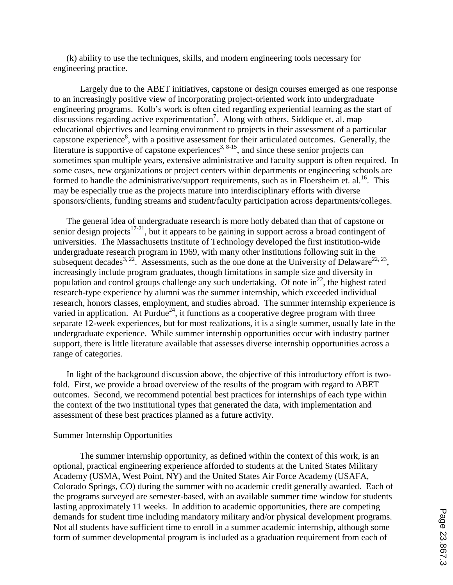(k) ability to use the techniques, skills, and modern engineering tools necessary for engineering practice.

Largely due to the ABET initiatives, capstone or design courses emerged as one response to an increasingly positive view of incorporating project-oriented work into undergraduate engineering programs. Kolb's work is often cited regarding experiential learning as the start of discussions regarding active experimentation<sup>7</sup>. Along with others, Siddique et. al. map educational objectives and learning environment to projects in their assessment of a particular capstone experience<sup>8</sup>, with a positive assessment for their articulated outcomes. Generally, the literature is supportive of capstone experiences<sup>3, 8-15</sup>, and since these senior projects can sometimes span multiple years, extensive administrative and faculty support is often required. In some cases, new organizations or project centers within departments or engineering schools are formed to handle the administrative/support requirements, such as in Floersheim et. al.<sup>16</sup>. This may be especially true as the projects mature into interdisciplinary efforts with diverse sponsors/clients, funding streams and student/faculty participation across departments/colleges.

The general idea of undergraduate research is more hotly debated than that of capstone or senior design projects<sup>17-21</sup>, but it appears to be gaining in support across a broad contingent of universities. The Massachusetts Institute of Technology developed the first institution-wide undergraduate research program in 1969, with many other institutions following suit in the subsequent decades<sup>3, 22</sup>. Assessments, such as the one done at the University of Delaware<sup>22, 23</sup>, increasingly include program graduates, though limitations in sample size and diversity in population and control groups challenge any such undertaking. Of note  $in^{22}$ , the highest rated research-type experience by alumni was the summer internship, which exceeded individual research, honors classes, employment, and studies abroad. The summer internship experience is varied in application. At Purdue<sup>24</sup>, it functions as a cooperative degree program with three separate 12-week experiences, but for most realizations, it is a single summer, usually late in the undergraduate experience. While summer internship opportunities occur with industry partner support, there is little literature available that assesses diverse internship opportunities across a range of categories.

In light of the background discussion above, the objective of this introductory effort is twofold. First, we provide a broad overview of the results of the program with regard to ABET outcomes. Second, we recommend potential best practices for internships of each type within the context of the two institutional types that generated the data, with implementation and assessment of these best practices planned as a future activity.

#### Summer Internship Opportunities

The summer internship opportunity, as defined within the context of this work, is an optional, practical engineering experience afforded to students at the United States Military Academy (USMA, West Point, NY) and the United States Air Force Academy (USAFA, Colorado Springs, CO) during the summer with no academic credit generally awarded. Each of the programs surveyed are semester-based, with an available summer time window for students lasting approximately 11 weeks. In addition to academic opportunities, there are competing demands for student time including mandatory military and/or physical development programs. Not all students have sufficient time to enroll in a summer academic internship, although some form of summer developmental program is included as a graduation requirement from each of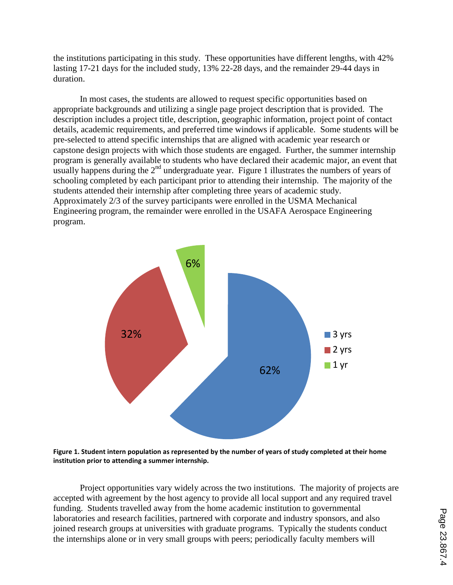the institutions participating in this study. These opportunities have different lengths, with 42% lasting 17-21 days for the included study, 13% 22-28 days, and the remainder 29-44 days in duration.

In most cases, the students are allowed to request specific opportunities based on appropriate backgrounds and utilizing a single page project description that is provided. The description includes a project title, description, geographic information, project point of contact details, academic requirements, and preferred time windows if applicable. Some students will be pre-selected to attend specific internships that are aligned with academic year research or capstone design projects with which those students are engaged. Further, the summer internship program is generally available to students who have declared their academic major, an event that usually happens during the 2<sup>nd</sup> undergraduate year. Figure 1 illustrates the numbers of years of schooling completed by each participant prior to attending their internship. The majority of the students attended their internship after completing three years of academic study. Approximately 2/3 of the survey participants were enrolled in the USMA Mechanical Engineering program, the remainder were enrolled in the USAFA Aerospace Engineering program.



**Figure 1. Student intern population as represented by the number of years of study completed at their home institution prior to attending a summer internship.**

Project opportunities vary widely across the two institutions. The majority of projects are accepted with agreement by the host agency to provide all local support and any required travel funding. Students travelled away from the home academic institution to governmental laboratories and research facilities, partnered with corporate and industry sponsors, and also joined research groups at universities with graduate programs. Typically the students conduct the internships alone or in very small groups with peers; periodically faculty members will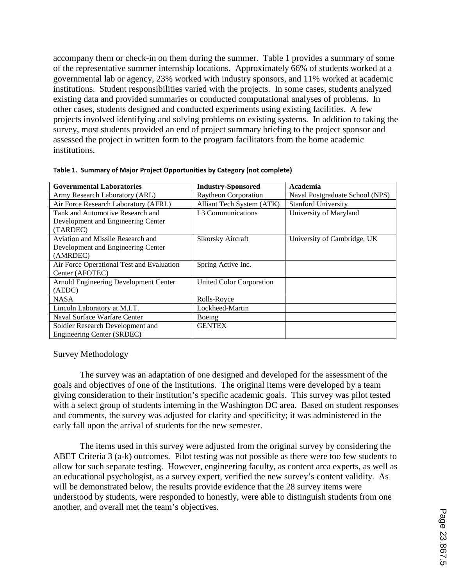accompany them or check-in on them during the summer. Table 1 provides a summary of some of the representative summer internship locations. Approximately 66% of students worked at a governmental lab or agency, 23% worked with industry sponsors, and 11% worked at academic institutions. Student responsibilities varied with the projects. In some cases, students analyzed existing data and provided summaries or conducted computational analyses of problems. In other cases, students designed and conducted experiments using existing facilities. A few projects involved identifying and solving problems on existing systems. In addition to taking the survey, most students provided an end of project summary briefing to the project sponsor and assessed the project in written form to the program facilitators from the home academic institutions.

| <b>Governmental Laboratories</b>          | <b>Industry-Sponsored</b>     | Academia                        |
|-------------------------------------------|-------------------------------|---------------------------------|
| Army Research Laboratory (ARL)            | <b>Raytheon Corporation</b>   | Naval Postgraduate School (NPS) |
| Air Force Research Laboratory (AFRL)      | Alliant Tech System (ATK)     | <b>Stanford University</b>      |
| Tank and Automotive Research and          | L <sub>3</sub> Communications | University of Maryland          |
| Development and Engineering Center        |                               |                                 |
| (TARDEC)                                  |                               |                                 |
| Aviation and Missile Research and         | <b>Sikorsky Aircraft</b>      | University of Cambridge, UK     |
| Development and Engineering Center        |                               |                                 |
| (AMRDEC)                                  |                               |                                 |
| Air Force Operational Test and Evaluation | Spring Active Inc.            |                                 |
| Center (AFOTEC)                           |                               |                                 |
| Arnold Engineering Development Center     | United Color Corporation      |                                 |
| (AEDC)                                    |                               |                                 |
| <b>NASA</b>                               | Rolls-Royce                   |                                 |
| Lincoln Laboratory at M.I.T.              | Lockheed-Martin               |                                 |
| Naval Surface Warfare Center              | Boeing                        |                                 |
| Soldier Research Development and          | <b>GENTEX</b>                 |                                 |
| Engineering Center (SRDEC)                |                               |                                 |

|  |  |  |  |  |  | Table 1. Summary of Major Project Opportunities by Category (not complete) |
|--|--|--|--|--|--|----------------------------------------------------------------------------|
|--|--|--|--|--|--|----------------------------------------------------------------------------|

### Survey Methodology

The survey was an adaptation of one designed and developed for the assessment of the goals and objectives of one of the institutions. The original items were developed by a team giving consideration to their institution's specific academic goals. This survey was pilot tested with a select group of students interning in the Washington DC area. Based on student responses and comments, the survey was adjusted for clarity and specificity; it was administered in the early fall upon the arrival of students for the new semester.

The items used in this survey were adjusted from the original survey by considering the ABET Criteria 3 (a-k) outcomes. Pilot testing was not possible as there were too few students to allow for such separate testing. However, engineering faculty, as content area experts, as well as an educational psychologist, as a survey expert, verified the new survey's content validity. As will be demonstrated below, the results provide evidence that the 28 survey items were understood by students, were responded to honestly, were able to distinguish students from one another, and overall met the team's objectives.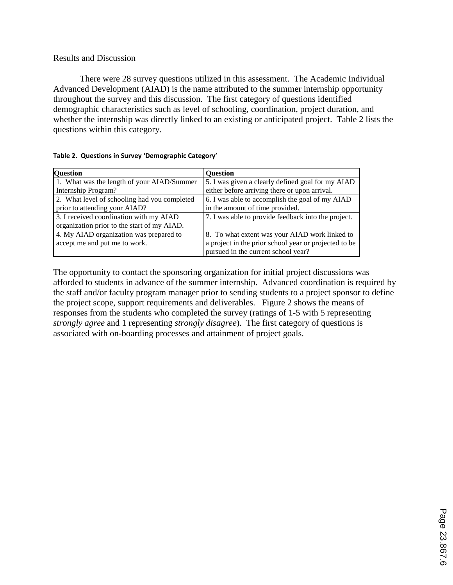# Results and Discussion

There were 28 survey questions utilized in this assessment. The Academic Individual Advanced Development (AIAD) is the name attributed to the summer internship opportunity throughout the survey and this discussion. The first category of questions identified demographic characteristics such as level of schooling, coordination, project duration, and whether the internship was directly linked to an existing or anticipated project. Table 2 lists the questions within this category.

| Question                                     | <b>Ouestion</b>                                       |
|----------------------------------------------|-------------------------------------------------------|
| 1. What was the length of your AIAD/Summer   | 5. I was given a clearly defined goal for my AIAD     |
| Internship Program?                          | either before arriving there or upon arrival.         |
| 2. What level of schooling had you completed | 6. I was able to accomplish the goal of my AIAD       |
| prior to attending your AIAD?                | in the amount of time provided.                       |
| 3. I received coordination with my AIAD      | 7. I was able to provide feedback into the project.   |
| organization prior to the start of my AIAD.  |                                                       |
| 4. My AIAD organization was prepared to      | 8. To what extent was your AIAD work linked to        |
| accept me and put me to work.                | a project in the prior school year or projected to be |
|                                              | pursued in the current school year?                   |

|  |  |  | Table 2. Questions in Survey 'Demographic Category' |  |
|--|--|--|-----------------------------------------------------|--|
|--|--|--|-----------------------------------------------------|--|

The opportunity to contact the sponsoring organization for initial project discussions was afforded to students in advance of the summer internship. Advanced coordination is required by the staff and/or faculty program manager prior to sending students to a project sponsor to define the project scope, support requirements and deliverables. Figure 2 shows the means of responses from the students who completed the survey (ratings of 1-5 with 5 representing *strongly agree* and 1 representing *strongly disagree*). The first category of questions is associated with on-boarding processes and attainment of project goals.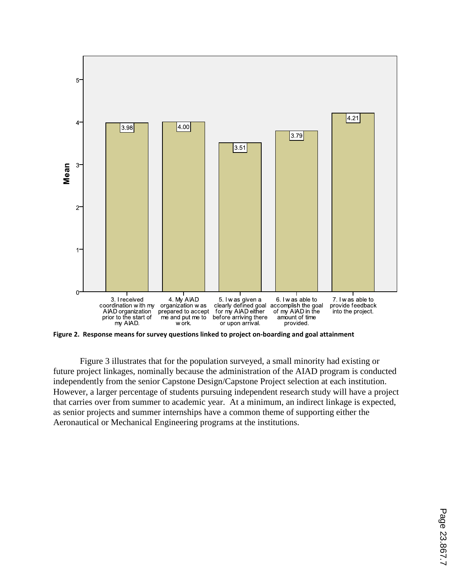

**Figure 2. Response means for survey questions linked to project on-boarding and goal attainment**

Figure 3 illustrates that for the population surveyed, a small minority had existing or future project linkages, nominally because the administration of the AIAD program is conducted independently from the senior Capstone Design/Capstone Project selection at each institution. However, a larger percentage of students pursuing independent research study will have a project that carries over from summer to academic year. At a minimum, an indirect linkage is expected, as senior projects and summer internships have a common theme of supporting either the Aeronautical or Mechanical Engineering programs at the institutions.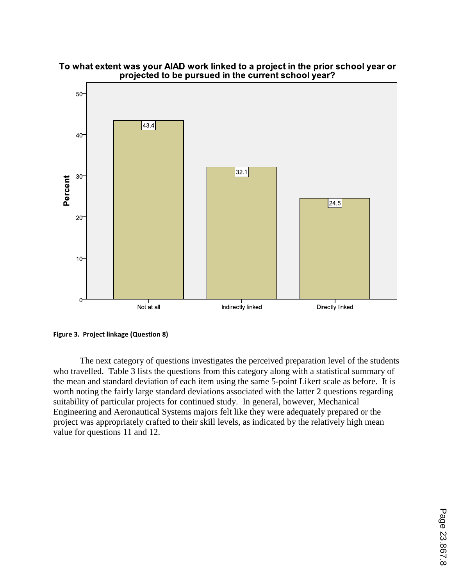

To what extent was your AIAD work linked to a project in the prior school year or projected to be pursued in the current school year?

**Figure 3. Project linkage (Question 8)**

The next category of questions investigates the perceived preparation level of the students who travelled. Table 3 lists the questions from this category along with a statistical summary of the mean and standard deviation of each item using the same 5-point Likert scale as before. It is worth noting the fairly large standard deviations associated with the latter 2 questions regarding suitability of particular projects for continued study. In general, however, Mechanical Engineering and Aeronautical Systems majors felt like they were adequately prepared or the project was appropriately crafted to their skill levels, as indicated by the relatively high mean value for questions 11 and 12.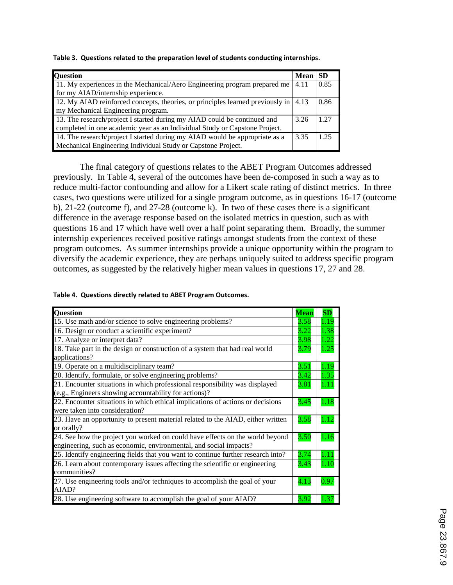**Table 3. Questions related to the preparation level of students conducting internships.**

| <b>Question</b>                                                                                     | <b>Mean</b> | <b>SD</b> |
|-----------------------------------------------------------------------------------------------------|-------------|-----------|
| 11. My experiences in the Mechanical/Aero Engineering program prepared me                           | 4.11        | 0.85      |
| for my AIAD/internship experience.                                                                  |             |           |
| 12. My AIAD reinforced concepts, theories, or principles learned previously in $\vert 4.13 \rangle$ |             | 0.86      |
| my Mechanical Engineering program.                                                                  |             |           |
| 13. The research/project I started during my AIAD could be continued and                            | 3.26        | 1 27      |
| completed in one academic year as an Individual Study or Capstone Project.                          |             |           |
| 14. The research/project I started during my AIAD would be appropriate as a                         | 3.35        | 1 25      |
| Mechanical Engineering Individual Study or Capstone Project.                                        |             |           |

The final category of questions relates to the ABET Program Outcomes addressed previously. In Table 4, several of the outcomes have been de-composed in such a way as to reduce multi-factor confounding and allow for a Likert scale rating of distinct metrics. In three cases, two questions were utilized for a single program outcome, as in questions 16-17 (outcome b), 21-22 (outcome f), and 27-28 (outcome k). In two of these cases there is a significant difference in the average response based on the isolated metrics in question, such as with questions 16 and 17 which have well over a half point separating them. Broadly, the summer internship experiences received positive ratings amongst students from the context of these program outcomes. As summer internships provide a unique opportunity within the program to diversify the academic experience, they are perhaps uniquely suited to address specific program outcomes, as suggested by the relatively higher mean values in questions 17, 27 and 28.

|  | Table 4. Questions directly related to ABET Program Outcomes. |  |
|--|---------------------------------------------------------------|--|
|--|---------------------------------------------------------------|--|

| <b>Question</b>                                                                  | <b>Mean</b> | $\mathbf{SD}$ |
|----------------------------------------------------------------------------------|-------------|---------------|
| 15. Use math and/or science to solve engineering problems?                       | 3.58        | 1.19          |
| 16. Design or conduct a scientific experiment?                                   | 3.22        | 1.38          |
| 17. Analyze or interpret data?                                                   | 3.98        | 1.22          |
| 18. Take part in the design or construction of a system that had real world      | 3.79        | 1.25          |
| applications?                                                                    |             |               |
| 19. Operate on a multidisciplinary team?                                         | 3.51        | 1.19          |
| 20. Identify, formulate, or solve engineering problems?                          | 3.42        | 1.35          |
| 21. Encounter situations in which professional responsibility was displayed      | 3.81        | 1.11          |
| (e.g., Engineers showing accountability for actions)?                            |             |               |
| 22. Encounter situations in which ethical implications of actions or decisions   | 3.45        | 1.18          |
| were taken into consideration?                                                   |             |               |
| 23. Have an opportunity to present material related to the AIAD, either written  | 3.58        | 1.12          |
| or orally?                                                                       |             |               |
| 24. See how the project you worked on could have effects on the world beyond     | 3.50        | 1.16          |
| engineering, such as economic, environmental, and social impacts?                |             |               |
| 25. Identify engineering fields that you want to continue further research into? | 3.74        | 1.11          |
| 26. Learn about contemporary issues affecting the scientific or engineering      | 3.43        | 1.10          |
| communities?                                                                     |             |               |
| 27. Use engineering tools and/or techniques to accomplish the goal of your       | 4.13        | 0.97          |
| AIAD?                                                                            |             |               |
| 28. Use engineering software to accomplish the goal of your AIAD?                | 3.92        | 1 37          |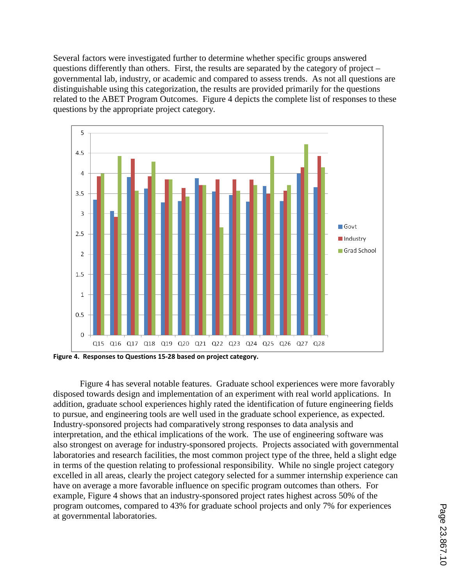Several factors were investigated further to determine whether specific groups answered questions differently than others. First, the results are separated by the category of project – governmental lab, industry, or academic and compared to assess trends. As not all questions are distinguishable using this categorization, the results are provided primarily for the questions related to the ABET Program Outcomes. Figure 4 depicts the complete list of responses to these questions by the appropriate project category.



**Figure 4. Responses to Questions 15-28 based on project category.**

Figure 4 has several notable features. Graduate school experiences were more favorably disposed towards design and implementation of an experiment with real world applications. In addition, graduate school experiences highly rated the identification of future engineering fields to pursue, and engineering tools are well used in the graduate school experience, as expected. Industry-sponsored projects had comparatively strong responses to data analysis and interpretation, and the ethical implications of the work. The use of engineering software was also strongest on average for industry-sponsored projects. Projects associated with governmental laboratories and research facilities, the most common project type of the three, held a slight edge in terms of the question relating to professional responsibility. While no single project category excelled in all areas, clearly the project category selected for a summer internship experience can have on average a more favorable influence on specific program outcomes than others. For example, Figure 4 shows that an industry-sponsored project rates highest across 50% of the program outcomes, compared to 43% for graduate school projects and only 7% for experiences at governmental laboratories.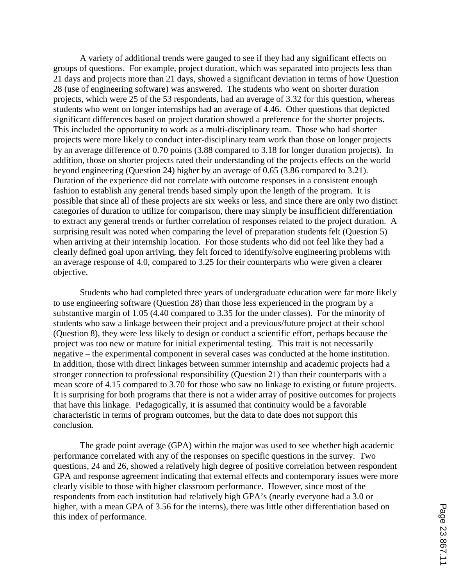A variety of additional trends were gauged to see if they had any significant effects on groups of questions. For example, project duration, which was separated into projects less than 21 days and projects more than 21 days, showed a significant deviation in terms of how Question 28 (use of engineering software) was answered. The students who went on shorter duration projects, which were 25 of the 53 respondents, had an average of 3.32 for this question, whereas students who went on longer internships had an average of 4.46. Other questions that depicted significant differences based on project duration showed a preference for the shorter projects. This included the opportunity to work as a multi-disciplinary team. Those who had shorter projects were more likely to conduct inter-disciplinary team work than those on longer projects by an average difference of 0.70 points (3.88 compared to 3.18 for longer duration projects). In addition, those on shorter projects rated their understanding of the projects effects on the world beyond engineering (Question 24) higher by an average of 0.65 (3.86 compared to 3.21). Duration of the experience did not correlate with outcome responses in a consistent enough fashion to establish any general trends based simply upon the length of the program. It is possible that since all of these projects are six weeks or less, and since there are only two distinct categories of duration to utilize for comparison, there may simply be insufficient differentiation to extract any general trends or further correlation of responses related to the project duration. A surprising result was noted when comparing the level of preparation students felt (Question 5) when arriving at their internship location. For those students who did not feel like they had a clearly defined goal upon arriving, they felt forced to identify/solve engineering problems with an average response of 4.0, compared to 3.25 for their counterparts who were given a clearer objective.

Students who had completed three years of undergraduate education were far more likely to use engineering software (Question 28) than those less experienced in the program by a substantive margin of 1.05 (4.40 compared to 3.35 for the under classes). For the minority of students who saw a linkage between their project and a previous/future project at their school (Question 8), they were less likely to design or conduct a scientific effort, perhaps because the project was too new or mature for initial experimental testing. This trait is not necessarily negative – the experimental component in several cases was conducted at the home institution. In addition, those with direct linkages between summer internship and academic projects had a stronger connection to professional responsibility (Question 21) than their counterparts with a mean score of 4.15 compared to 3.70 for those who saw no linkage to existing or future projects. It is surprising for both programs that there is not a wider array of positive outcomes for projects that have this linkage. Pedagogically, it is assumed that continuity would be a favorable characteristic in terms of program outcomes, but the data to date does not support this conclusion.

The grade point average (GPA) within the major was used to see whether high academic performance correlated with any of the responses on specific questions in the survey. Two questions, 24 and 26, showed a relatively high degree of positive correlation between respondent GPA and response agreement indicating that external effects and contemporary issues were more clearly visible to those with higher classroom performance. However, since most of the respondents from each institution had relatively high GPA's (nearly everyone had a 3.0 or higher, with a mean GPA of 3.56 for the interns), there was little other differentiation based on this index of performance.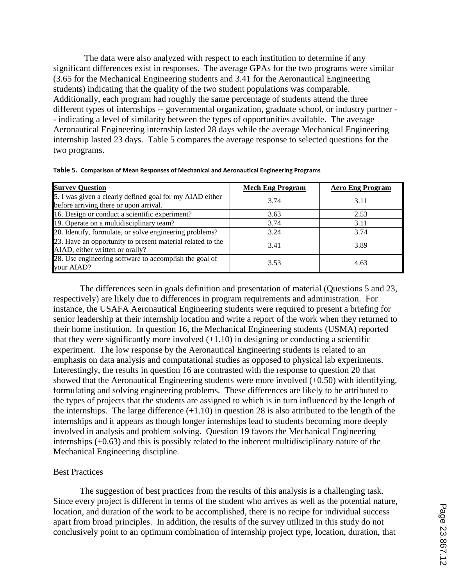The data were also analyzed with respect to each institution to determine if any significant differences exist in responses. The average GPAs for the two programs were similar (3.65 for the Mechanical Engineering students and 3.41 for the Aeronautical Engineering students) indicating that the quality of the two student populations was comparable. Additionally, each program had roughly the same percentage of students attend the three different types of internships -- governmental organization, graduate school, or industry partner - - indicating a level of similarity between the types of opportunities available. The average Aeronautical Engineering internship lasted 28 days while the average Mechanical Engineering internship lasted 23 days. Table 5 compares the average response to selected questions for the two programs.

| <b>Survey Question</b>                                                                             | <b>Mech Eng Program</b> | <b>Aero Eng Program</b> |
|----------------------------------------------------------------------------------------------------|-------------------------|-------------------------|
| 5. I was given a clearly defined goal for my AIAD either<br>before arriving there or upon arrival. | 3.74                    | 3.11                    |
| 16. Design or conduct a scientific experiment?                                                     | 3.63                    | 2.53                    |
| 19. Operate on a multidisciplinary team?                                                           | 3.74                    | 3.11                    |
| 20. Identify, formulate, or solve engineering problems?                                            | 3.24                    | 3.74                    |
| 23. Have an opportunity to present material related to the<br>AIAD, either written or orally?      | 3.41                    | 3.89                    |
| 28. Use engineering software to accomplish the goal of<br>your AIAD?                               | 3.53                    | 4.63                    |

|  |  |  |  |  | Table 5. Comparison of Mean Responses of Mechanical and Aeronautical Engineering Programs |
|--|--|--|--|--|-------------------------------------------------------------------------------------------|
|--|--|--|--|--|-------------------------------------------------------------------------------------------|

The differences seen in goals definition and presentation of material (Questions 5 and 23, respectively) are likely due to differences in program requirements and administration. For instance, the USAFA Aeronautical Engineering students were required to present a briefing for senior leadership at their internship location and write a report of the work when they returned to their home institution. In question 16, the Mechanical Engineering students (USMA) reported that they were significantly more involved  $(+1.10)$  in designing or conducting a scientific experiment. The low response by the Aeronautical Engineering students is related to an emphasis on data analysis and computational studies as opposed to physical lab experiments. Interestingly, the results in question 16 are contrasted with the response to question 20 that showed that the Aeronautical Engineering students were more involved (+0.50) with identifying, formulating and solving engineering problems. These differences are likely to be attributed to the types of projects that the students are assigned to which is in turn influenced by the length of the internships. The large difference  $(+1.10)$  in question 28 is also attributed to the length of the internships and it appears as though longer internships lead to students becoming more deeply involved in analysis and problem solving. Question 19 favors the Mechanical Engineering internships (+0.63) and this is possibly related to the inherent multidisciplinary nature of the Mechanical Engineering discipline.

## Best Practices

The suggestion of best practices from the results of this analysis is a challenging task. Since every project is different in terms of the student who arrives as well as the potential nature, location, and duration of the work to be accomplished, there is no recipe for individual success apart from broad principles. In addition, the results of the survey utilized in this study do not conclusively point to an optimum combination of internship project type, location, duration, that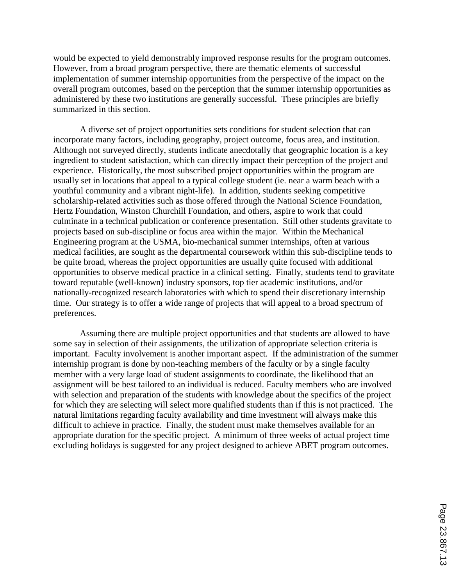would be expected to yield demonstrably improved response results for the program outcomes. However, from a broad program perspective, there are thematic elements of successful implementation of summer internship opportunities from the perspective of the impact on the overall program outcomes, based on the perception that the summer internship opportunities as administered by these two institutions are generally successful. These principles are briefly summarized in this section.

A diverse set of project opportunities sets conditions for student selection that can incorporate many factors, including geography, project outcome, focus area, and institution. Although not surveyed directly, students indicate anecdotally that geographic location is a key ingredient to student satisfaction, which can directly impact their perception of the project and experience. Historically, the most subscribed project opportunities within the program are usually set in locations that appeal to a typical college student (ie. near a warm beach with a youthful community and a vibrant night-life). In addition, students seeking competitive scholarship-related activities such as those offered through the National Science Foundation, Hertz Foundation, Winston Churchill Foundation, and others, aspire to work that could culminate in a technical publication or conference presentation. Still other students gravitate to projects based on sub-discipline or focus area within the major. Within the Mechanical Engineering program at the USMA, bio-mechanical summer internships, often at various medical facilities, are sought as the departmental coursework within this sub-discipline tends to be quite broad, whereas the project opportunities are usually quite focused with additional opportunities to observe medical practice in a clinical setting. Finally, students tend to gravitate toward reputable (well-known) industry sponsors, top tier academic institutions, and/or nationally-recognized research laboratories with which to spend their discretionary internship time. Our strategy is to offer a wide range of projects that will appeal to a broad spectrum of preferences.

Assuming there are multiple project opportunities and that students are allowed to have some say in selection of their assignments, the utilization of appropriate selection criteria is important. Faculty involvement is another important aspect. If the administration of the summer internship program is done by non-teaching members of the faculty or by a single faculty member with a very large load of student assignments to coordinate, the likelihood that an assignment will be best tailored to an individual is reduced. Faculty members who are involved with selection and preparation of the students with knowledge about the specifics of the project for which they are selecting will select more qualified students than if this is not practiced. The natural limitations regarding faculty availability and time investment will always make this difficult to achieve in practice. Finally, the student must make themselves available for an appropriate duration for the specific project. A minimum of three weeks of actual project time excluding holidays is suggested for any project designed to achieve ABET program outcomes.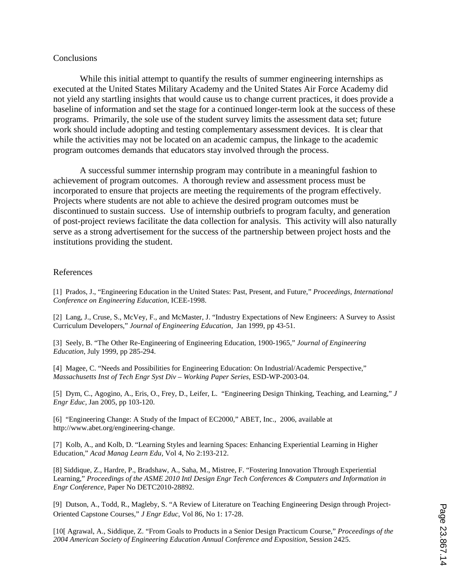### Conclusions

While this initial attempt to quantify the results of summer engineering internships as executed at the United States Military Academy and the United States Air Force Academy did not yield any startling insights that would cause us to change current practices, it does provide a baseline of information and set the stage for a continued longer-term look at the success of these programs. Primarily, the sole use of the student survey limits the assessment data set; future work should include adopting and testing complementary assessment devices. It is clear that while the activities may not be located on an academic campus, the linkage to the academic program outcomes demands that educators stay involved through the process.

A successful summer internship program may contribute in a meaningful fashion to achievement of program outcomes. A thorough review and assessment process must be incorporated to ensure that projects are meeting the requirements of the program effectively. Projects where students are not able to achieve the desired program outcomes must be discontinued to sustain success. Use of internship outbriefs to program faculty, and generation of post-project reviews facilitate the data collection for analysis. This activity will also naturally serve as a strong advertisement for the success of the partnership between project hosts and the institutions providing the student.

### References

[1] Prados, J., "Engineering Education in the United States: Past, Present, and Future," *Proceedings, International Conference on Engineering Education*, ICEE-1998.

[2] Lang, J., Cruse, S., McVey, F., and McMaster, J. "Industry Expectations of New Engineers: A Survey to Assist Curriculum Developers," *Journal of Engineering Education*, Jan 1999, pp 43-51.

[3] Seely, B. "The Other Re-Engineering of Engineering Education, 1900-1965," *Journal of Engineering Education*, July 1999, pp 285-294.

[4] Magee, C. "Needs and Possibilities for Engineering Education: On Industrial/Academic Perspective," *Massachusetts Inst of Tech Engr Syst Div – Working Paper Series*, ESD-WP-2003-04.

[5] Dym, C., Agogino, A., Eris, O., Frey, D., Leifer, L. "Engineering Design Thinking, Teaching, and Learning," *J Engr Educ*, Jan 2005, pp 103-120.

[6] "Engineering Change: A Study of the Impact of EC2000," ABET, Inc., 2006, available at http://www.abet.org/engineering-change.

[7] Kolb, A., and Kolb, D. "Learning Styles and learning Spaces: Enhancing Experiential Learning in Higher Education," *Acad Manag Learn Edu,* Vol 4, No 2:193-212.

[8] Siddique, Z., Hardre, P., Bradshaw, A., Saha, M., Mistree, F. "Fostering Innovation Through Experiential Learning," *Proceedings of the ASME 2010 Intl Design Engr Tech Conferences & Computers and Information in Engr Conference*, Paper No DETC2010-28892.

[9] Dutson, A., Todd, R., Magleby, S. "A Review of Literature on Teaching Engineering Design through Project-Oriented Capstone Courses," *J Engr Educ*, Vol 86, No 1: 17-28.

[10[ Agrawal, A., Siddique, Z. "From Goals to Products in a Senior Design Practicum Course," *Proceedings of the 2004 American Society of Engineering Education Annual Conference and Exposition*, Session 2425.